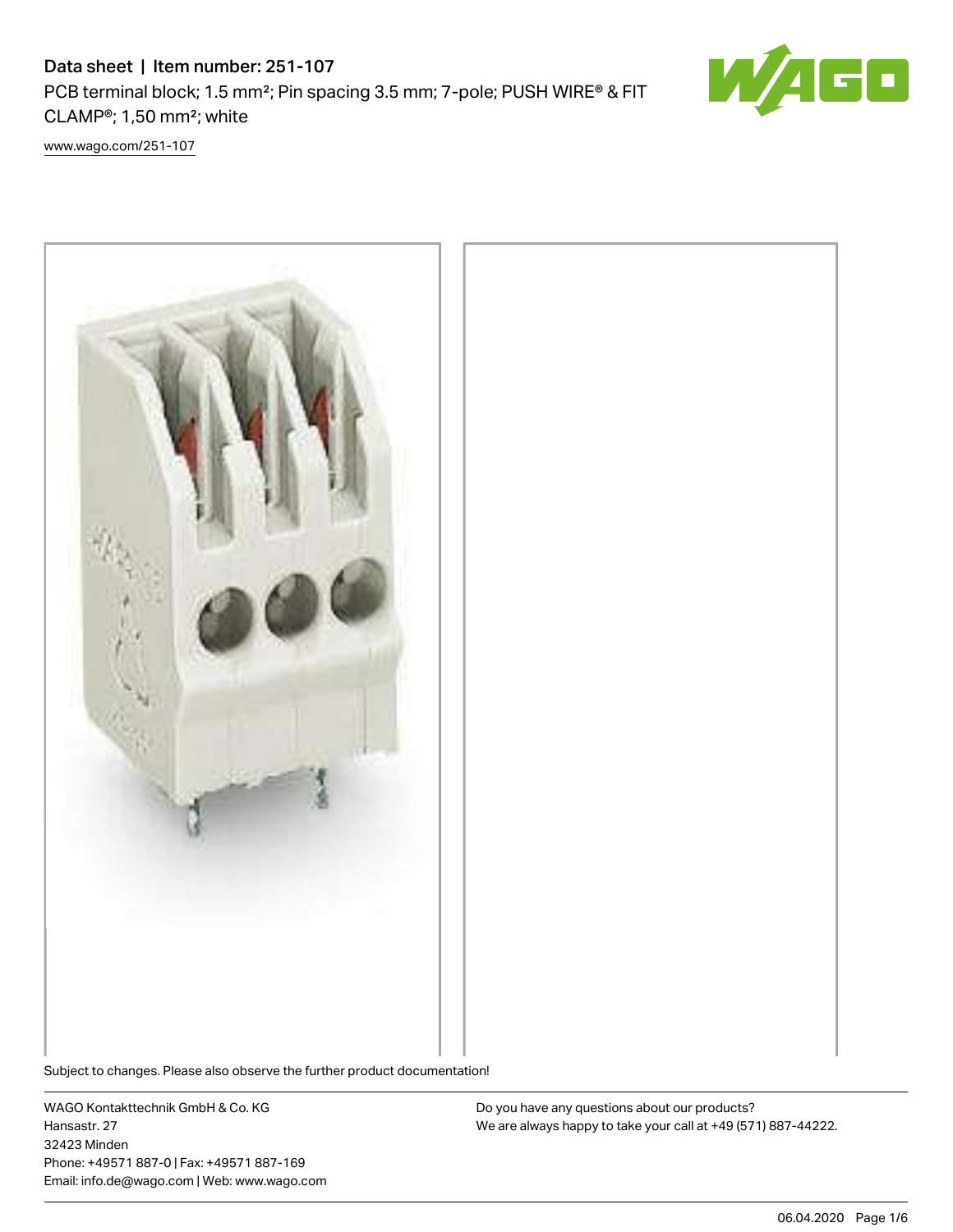# Data sheet | Item number: 251-107 PCB terminal block; 1.5 mm<sup>2</sup>; Pin spacing 3.5 mm; 7-pole; PUSH WIRE® & FIT CLAMP®; 1,50 mm²; white



[www.wago.com/251-107](http://www.wago.com/251-107)



Subject to changes. Please also observe the further product documentation!

WAGO Kontakttechnik GmbH & Co. KG Hansastr. 27 32423 Minden Phone: +49571 887-0 | Fax: +49571 887-169 Email: info.de@wago.com | Web: www.wago.com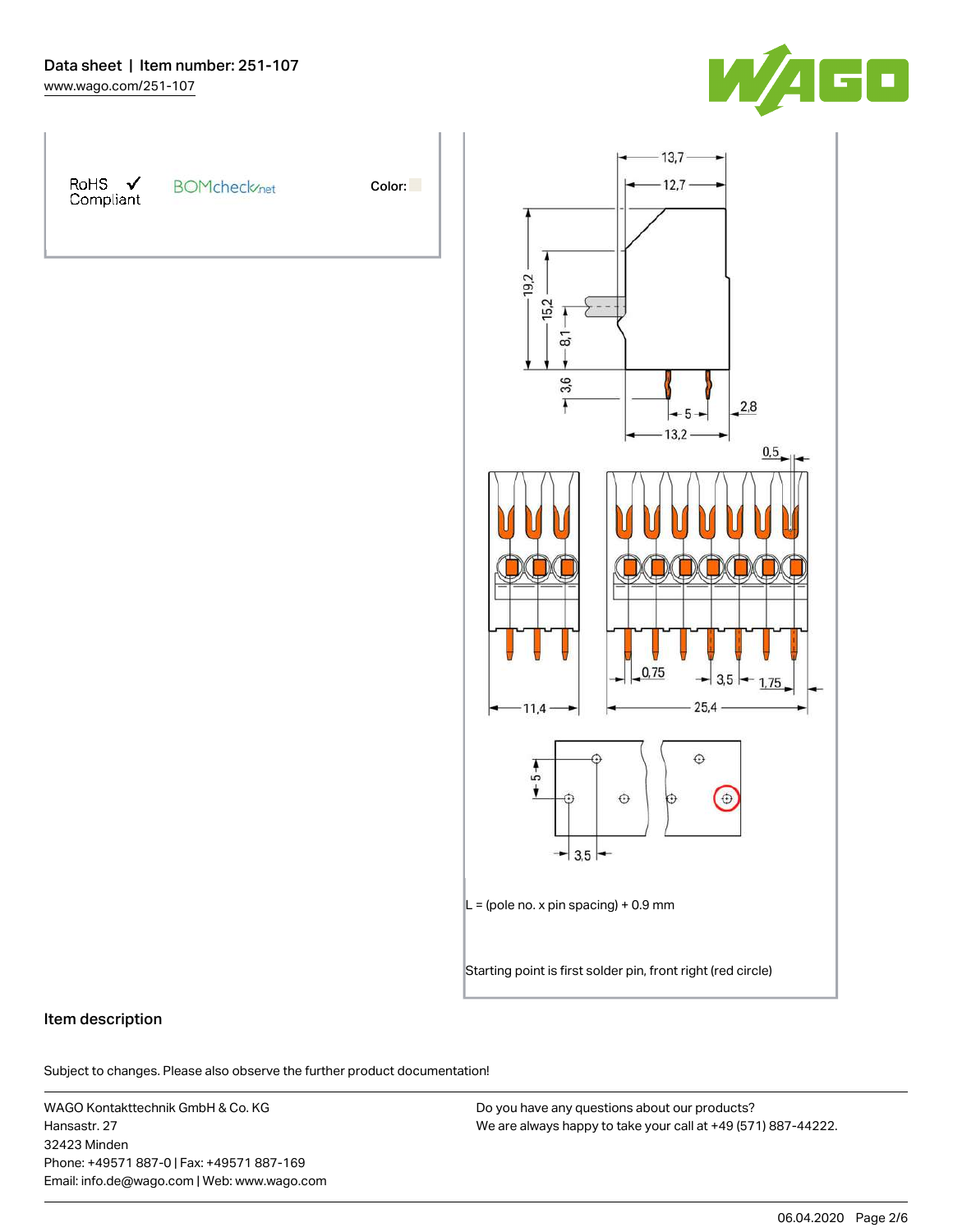



Color:



## Item description

Subject to changes. Please also observe the further product documentation!

WAGO Kontakttechnik GmbH & Co. KG Hansastr. 27 32423 Minden Phone: +49571 887-0 | Fax: +49571 887-169 Email: info.de@wago.com | Web: www.wago.com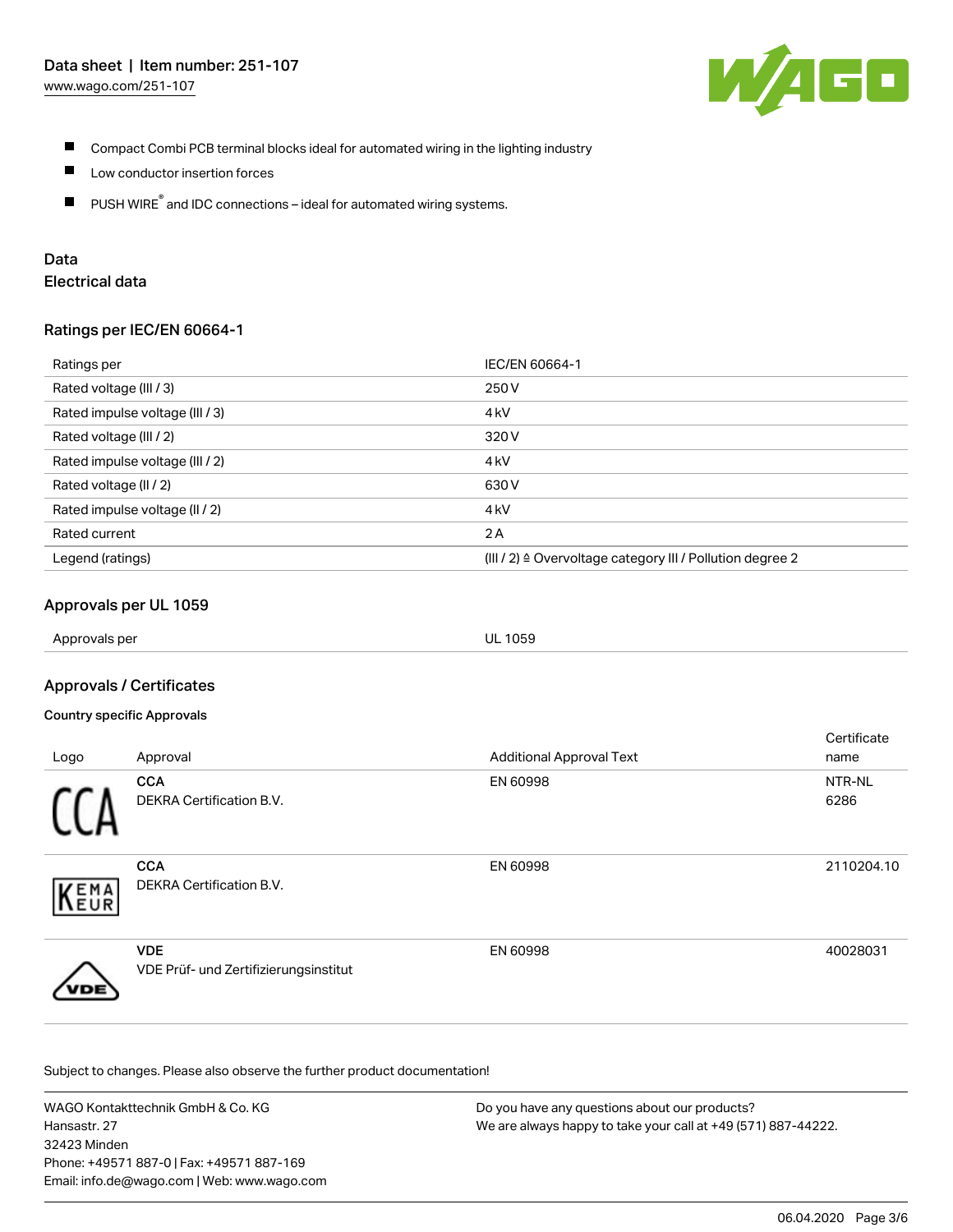

- Compact Combi PCB terminal blocks ideal for automated wiring in the lighting industry П
- $\blacksquare$ Low conductor insertion forces
- $\blacksquare$ PUSH WIRE<sup>®</sup> and IDC connections – ideal for automated wiring systems.

# Data

## Electrical data

### Ratings per IEC/EN 60664-1

| Ratings per                     | IEC/EN 60664-1                                                        |
|---------------------------------|-----------------------------------------------------------------------|
| Rated voltage (III / 3)         | 250 V                                                                 |
| Rated impulse voltage (III / 3) | 4 <sub>k</sub> V                                                      |
| Rated voltage (III / 2)         | 320 V                                                                 |
| Rated impulse voltage (III / 2) | 4 <sub>k</sub> V                                                      |
| Rated voltage (II / 2)          | 630 V                                                                 |
| Rated impulse voltage (II / 2)  | 4 <sub>k</sub> V                                                      |
| Rated current                   | 2A                                                                    |
| Legend (ratings)                | $(III / 2)$ $\triangle$ Overvoltage category III / Pollution degree 2 |

## Approvals per UL 1059

Approvals per UL 1059

## Approvals / Certificates

#### Country specific Approvals

|      |                                                     |                                 | Certificate |
|------|-----------------------------------------------------|---------------------------------|-------------|
| Logo | Approval                                            | <b>Additional Approval Text</b> | name        |
|      | <b>CCA</b>                                          | EN 60998                        | NTR-NL      |
|      | <b>DEKRA Certification B.V.</b>                     |                                 | 6286        |
| EMA  | <b>CCA</b><br><b>DEKRA Certification B.V.</b>       | EN 60998                        | 2110204.10  |
|      |                                                     |                                 |             |
| VDE) | <b>VDE</b><br>VDE Prüf- und Zertifizierungsinstitut | EN 60998                        | 40028031    |

Subject to changes. Please also observe the further product documentation!

WAGO Kontakttechnik GmbH & Co. KG Hansastr. 27 32423 Minden Phone: +49571 887-0 | Fax: +49571 887-169 Email: info.de@wago.com | Web: www.wago.com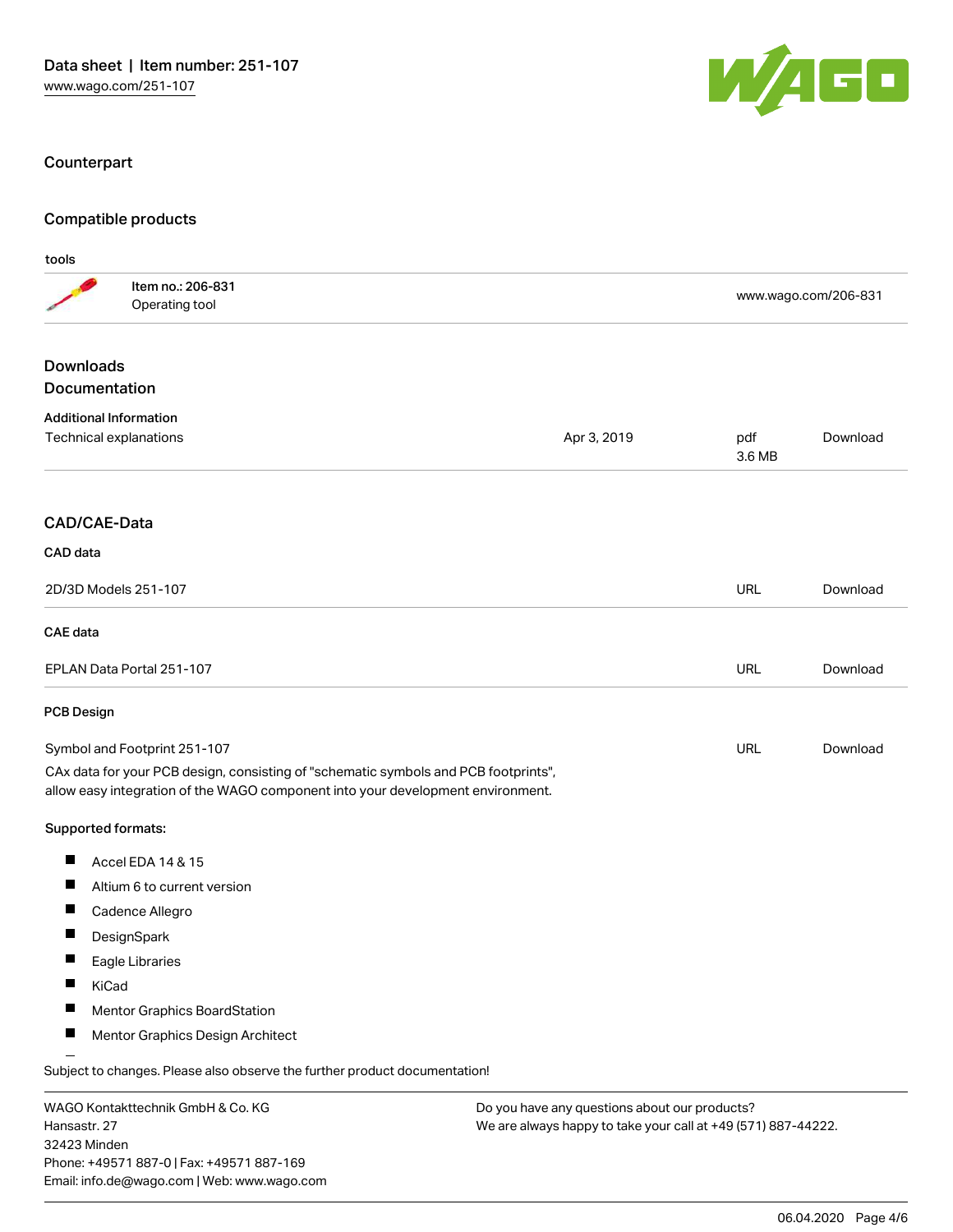Phone: +49571 887-0 | Fax: +49571 887-169 Email: info.de@wago.com | Web: www.wago.com



## Counterpart

## Compatible products

| tools                                    |                                                                                                                                                                        |             |                                                                                                                |                      |  |
|------------------------------------------|------------------------------------------------------------------------------------------------------------------------------------------------------------------------|-------------|----------------------------------------------------------------------------------------------------------------|----------------------|--|
|                                          | Item no.: 206-831<br>Operating tool                                                                                                                                    |             |                                                                                                                | www.wago.com/206-831 |  |
| <b>Downloads</b><br><b>Documentation</b> |                                                                                                                                                                        |             |                                                                                                                |                      |  |
|                                          |                                                                                                                                                                        |             |                                                                                                                |                      |  |
|                                          | <b>Additional Information</b><br>Technical explanations                                                                                                                | Apr 3, 2019 | pdf<br>3.6 MB                                                                                                  | Download             |  |
| <b>CAD/CAE-Data</b>                      |                                                                                                                                                                        |             |                                                                                                                |                      |  |
| CAD data                                 |                                                                                                                                                                        |             |                                                                                                                |                      |  |
|                                          | 2D/3D Models 251-107                                                                                                                                                   |             | URL                                                                                                            | Download             |  |
| <b>CAE</b> data                          |                                                                                                                                                                        |             |                                                                                                                |                      |  |
|                                          | EPLAN Data Portal 251-107                                                                                                                                              |             | <b>URL</b>                                                                                                     | Download             |  |
| <b>PCB Design</b>                        |                                                                                                                                                                        |             |                                                                                                                |                      |  |
|                                          | Symbol and Footprint 251-107                                                                                                                                           |             | URL                                                                                                            | Download             |  |
|                                          | CAx data for your PCB design, consisting of "schematic symbols and PCB footprints",<br>allow easy integration of the WAGO component into your development environment. |             |                                                                                                                |                      |  |
| Supported formats:                       |                                                                                                                                                                        |             |                                                                                                                |                      |  |
| ш                                        | Accel EDA 14 & 15                                                                                                                                                      |             |                                                                                                                |                      |  |
|                                          | Altium 6 to current version                                                                                                                                            |             |                                                                                                                |                      |  |
|                                          | Cadence Allegro                                                                                                                                                        |             |                                                                                                                |                      |  |
| ш                                        | DesignSpark                                                                                                                                                            |             |                                                                                                                |                      |  |
|                                          | Eagle Libraries                                                                                                                                                        |             |                                                                                                                |                      |  |
|                                          | KiCad                                                                                                                                                                  |             |                                                                                                                |                      |  |
|                                          | Mentor Graphics BoardStation                                                                                                                                           |             |                                                                                                                |                      |  |
|                                          | Mentor Graphics Design Architect                                                                                                                                       |             |                                                                                                                |                      |  |
|                                          | Subject to changes. Please also observe the further product documentation!                                                                                             |             |                                                                                                                |                      |  |
| Hansastr, 27<br>32423 Minden             | WAGO Kontakttechnik GmbH & Co. KG                                                                                                                                      |             | Do you have any questions about our products?<br>We are always happy to take your call at +49 (571) 887-44222. |                      |  |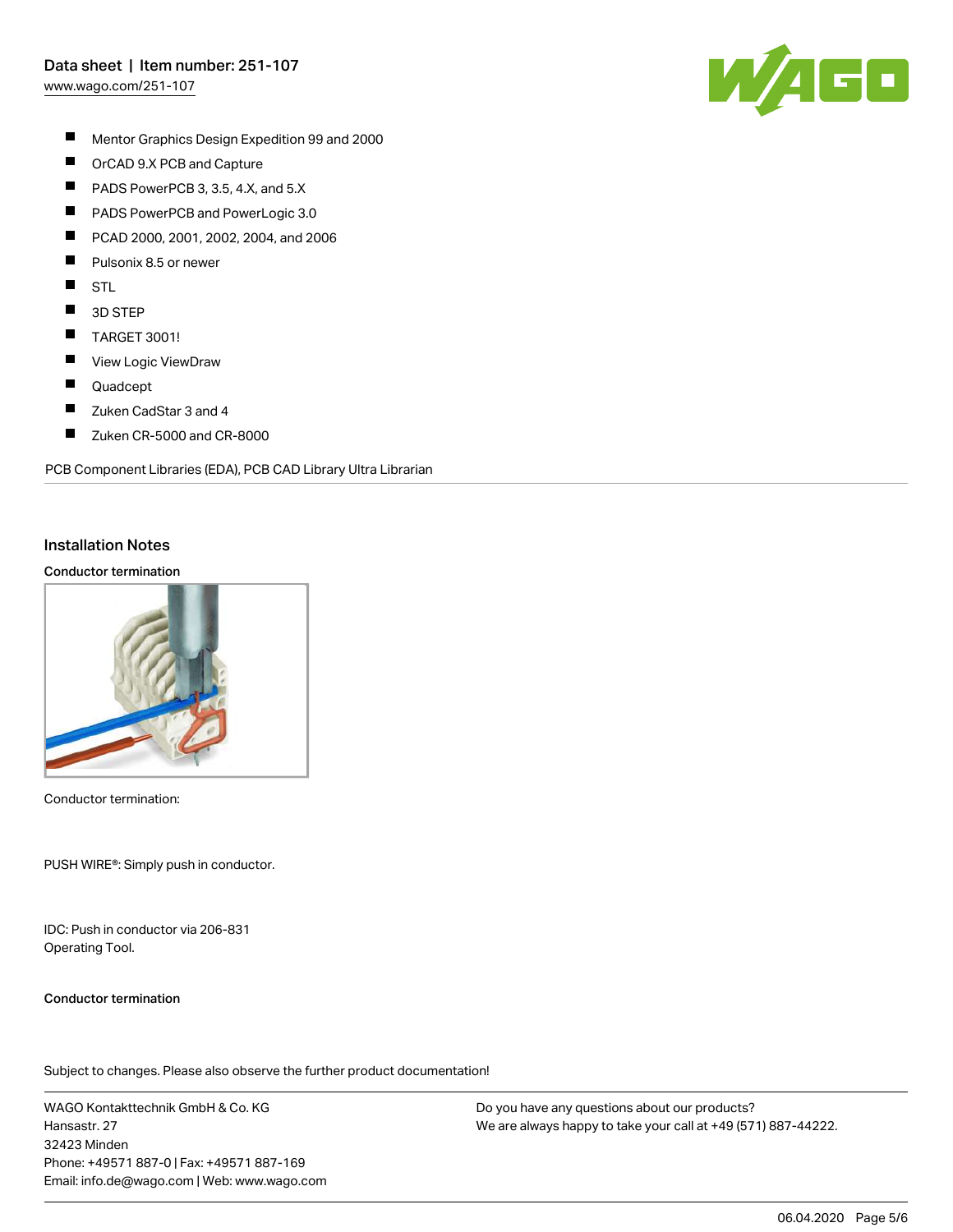## Data sheet | Item number: 251-107

[www.wago.com/251-107](http://www.wago.com/251-107)



- $\blacksquare$ Mentor Graphics Design Expedition 99 and 2000
- $\blacksquare$ OrCAD 9.X PCB and Capture
- $\blacksquare$ PADS PowerPCB 3, 3.5, 4.X, and 5.X
- $\blacksquare$ PADS PowerPCB and PowerLogic 3.0
- П PCAD 2000, 2001, 2002, 2004, and 2006
- П Pulsonix 8.5 or newer
- $\blacksquare$ STL
- $\blacksquare$ 3D STEP
- $\blacksquare$ TARGET 3001!
- П View Logic ViewDraw
- $\blacksquare$ Quadcept
- П Zuken CadStar 3 and 4
- $\blacksquare$ Zuken CR-5000 and CR-8000

PCB Component Libraries (EDA), PCB CAD Library Ultra Librarian

#### Installation Notes

#### Conductor termination



Conductor termination:

PUSH WIRE®: Simply push in conductor.

IDC: Push in conductor via 206-831 Operating Tool.

#### Conductor termination

Subject to changes. Please also observe the further product documentation!

WAGO Kontakttechnik GmbH & Co. KG Hansastr. 27 32423 Minden Phone: +49571 887-0 | Fax: +49571 887-169 Email: info.de@wago.com | Web: www.wago.com